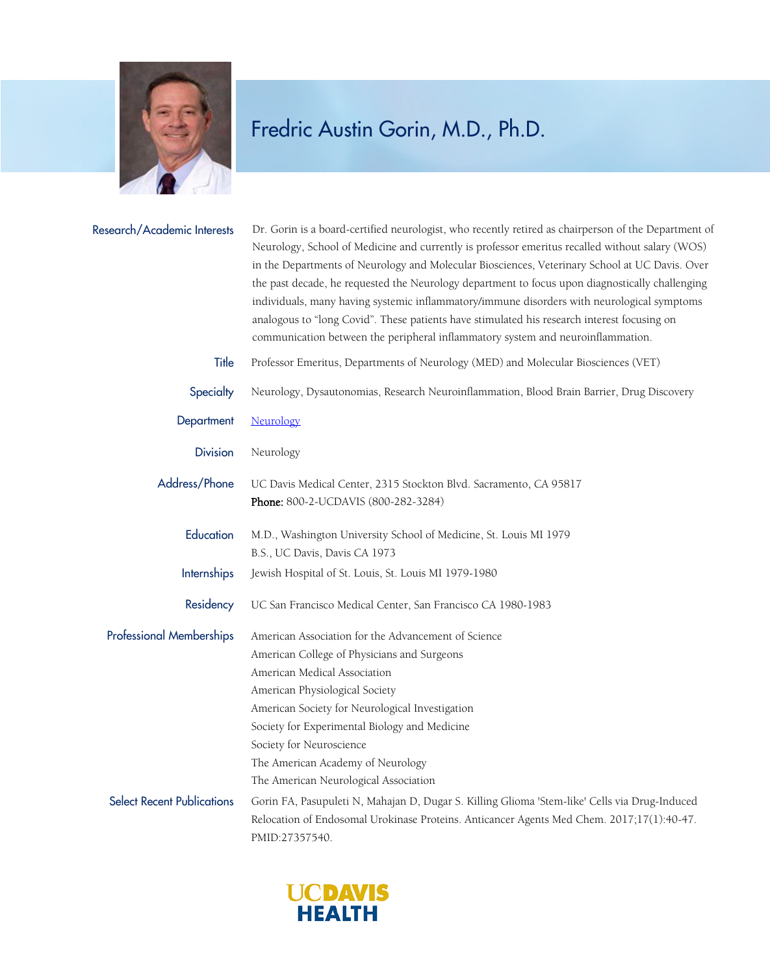

## Fredric Austin Gorin, M.D., Ph.D.

| Research/Academic Interests       | Dr. Gorin is a board-certified neurologist, who recently retired as chairperson of the Department of<br>Neurology, School of Medicine and currently is professor emeritus recalled without salary (WOS)<br>in the Departments of Neurology and Molecular Biosciences, Veterinary School at UC Davis. Over<br>the past decade, he requested the Neurology department to focus upon diagnostically challenging<br>individuals, many having systemic inflammatory/immune disorders with neurological symptoms<br>analogous to "long Covid". These patients have stimulated his research interest focusing on<br>communication between the peripheral inflammatory system and neuroinflammation. |
|-----------------------------------|----------------------------------------------------------------------------------------------------------------------------------------------------------------------------------------------------------------------------------------------------------------------------------------------------------------------------------------------------------------------------------------------------------------------------------------------------------------------------------------------------------------------------------------------------------------------------------------------------------------------------------------------------------------------------------------------|
| Title                             | Professor Emeritus, Departments of Neurology (MED) and Molecular Biosciences (VET)                                                                                                                                                                                                                                                                                                                                                                                                                                                                                                                                                                                                           |
| Specialty                         | Neurology, Dysautonomias, Research Neuroinflammation, Blood Brain Barrier, Drug Discovery                                                                                                                                                                                                                                                                                                                                                                                                                                                                                                                                                                                                    |
| Department                        | Neurology                                                                                                                                                                                                                                                                                                                                                                                                                                                                                                                                                                                                                                                                                    |
| <b>Division</b>                   | Neurology                                                                                                                                                                                                                                                                                                                                                                                                                                                                                                                                                                                                                                                                                    |
| Address/Phone                     | UC Davis Medical Center, 2315 Stockton Blvd. Sacramento, CA 95817<br>Phone: 800-2-UCDAVIS (800-282-3284)                                                                                                                                                                                                                                                                                                                                                                                                                                                                                                                                                                                     |
| Education                         | M.D., Washington University School of Medicine, St. Louis MI 1979<br>B.S., UC Davis, Davis CA 1973                                                                                                                                                                                                                                                                                                                                                                                                                                                                                                                                                                                           |
| <b>Internships</b>                | Jewish Hospital of St. Louis, St. Louis MI 1979-1980                                                                                                                                                                                                                                                                                                                                                                                                                                                                                                                                                                                                                                         |
| Residency                         | UC San Francisco Medical Center, San Francisco CA 1980-1983                                                                                                                                                                                                                                                                                                                                                                                                                                                                                                                                                                                                                                  |
| <b>Professional Memberships</b>   | American Association for the Advancement of Science<br>American College of Physicians and Surgeons<br>American Medical Association<br>American Physiological Society<br>American Society for Neurological Investigation<br>Society for Experimental Biology and Medicine<br>Society for Neuroscience<br>The American Academy of Neurology<br>The American Neurological Association                                                                                                                                                                                                                                                                                                           |
| <b>Select Recent Publications</b> | Gorin FA, Pasupuleti N, Mahajan D, Dugar S. Killing Glioma 'Stem-like' Cells via Drug-Induced<br>Relocation of Endosomal Urokinase Proteins. Anticancer Agents Med Chem. 2017;17(1):40-47.<br>PMID:27357540.                                                                                                                                                                                                                                                                                                                                                                                                                                                                                 |

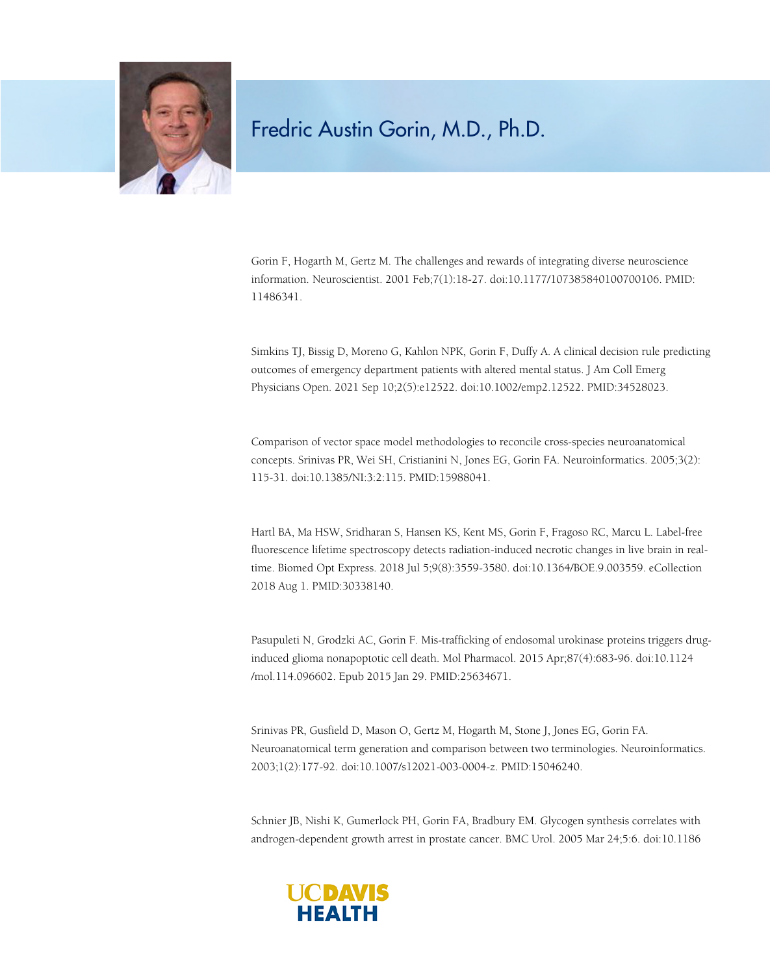

## Fredric Austin Gorin, M.D., Ph.D.

Gorin F, Hogarth M, Gertz M. The challenges and rewards of integrating diverse neuroscience information. Neuroscientist. 2001 Feb;7(1):18-27. doi:10.1177/107385840100700106. PMID: 11486341.

Simkins TJ, Bissig D, Moreno G, Kahlon NPK, Gorin F, Duffy A. A clinical decision rule predicting outcomes of emergency department patients with altered mental status. J Am Coll Emerg Physicians Open. 2021 Sep 10;2(5):e12522. doi:10.1002/emp2.12522. PMID:34528023.

Comparison of vector space model methodologies to reconcile cross-species neuroanatomical concepts. Srinivas PR, Wei SH, Cristianini N, Jones EG, Gorin FA. Neuroinformatics. 2005;3(2): 115-31. doi:10.1385/NI:3:2:115. PMID:15988041.

Hartl BA, Ma HSW, Sridharan S, Hansen KS, Kent MS, Gorin F, Fragoso RC, Marcu L. Label-free fluorescence lifetime spectroscopy detects radiation-induced necrotic changes in live brain in realtime. Biomed Opt Express. 2018 Jul 5;9(8):3559-3580. doi:10.1364/BOE.9.003559. eCollection 2018 Aug 1. PMID:30338140.

Pasupuleti N, Grodzki AC, Gorin F. Mis-trafficking of endosomal urokinase proteins triggers druginduced glioma nonapoptotic cell death. Mol Pharmacol. 2015 Apr;87(4):683-96. doi:10.1124 /mol.114.096602. Epub 2015 Jan 29. PMID:25634671.

Srinivas PR, Gusfield D, Mason O, Gertz M, Hogarth M, Stone J, Jones EG, Gorin FA. Neuroanatomical term generation and comparison between two terminologies. Neuroinformatics. 2003;1(2):177-92. doi:10.1007/s12021-003-0004-z. PMID:15046240.

Schnier JB, Nishi K, Gumerlock PH, Gorin FA, Bradbury EM. Glycogen synthesis correlates with androgen-dependent growth arrest in prostate cancer. BMC Urol. 2005 Mar 24;5:6. doi:10.1186